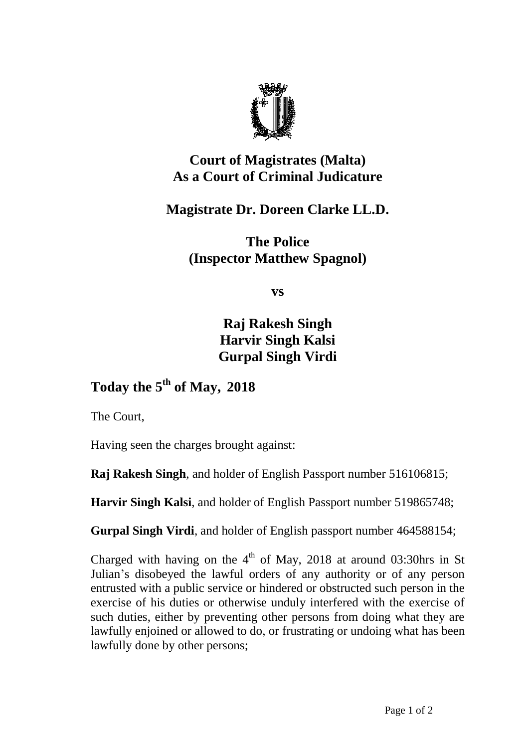

## **Court of Magistrates (Malta) As a Court of Criminal Judicature**

**Magistrate Dr. Doreen Clarke LL.D.**

**The Police (Inspector Matthew Spagnol)**

**vs**

**Raj Rakesh Singh Harvir Singh Kalsi Gurpal Singh Virdi**

## **Today the 5 th of May, 2018**

The Court,

Having seen the charges brought against:

**Raj Rakesh Singh**, and holder of English Passport number 516106815;

**Harvir Singh Kalsi**, and holder of English Passport number 519865748;

**Gurpal Singh Virdi**, and holder of English passport number 464588154;

Charged with having on the  $4<sup>th</sup>$  of May, 2018 at around 03:30hrs in St Julian's disobeyed the lawful orders of any authority or of any person entrusted with a public service or hindered or obstructed such person in the exercise of his duties or otherwise unduly interfered with the exercise of such duties, either by preventing other persons from doing what they are lawfully enjoined or allowed to do, or frustrating or undoing what has been lawfully done by other persons;